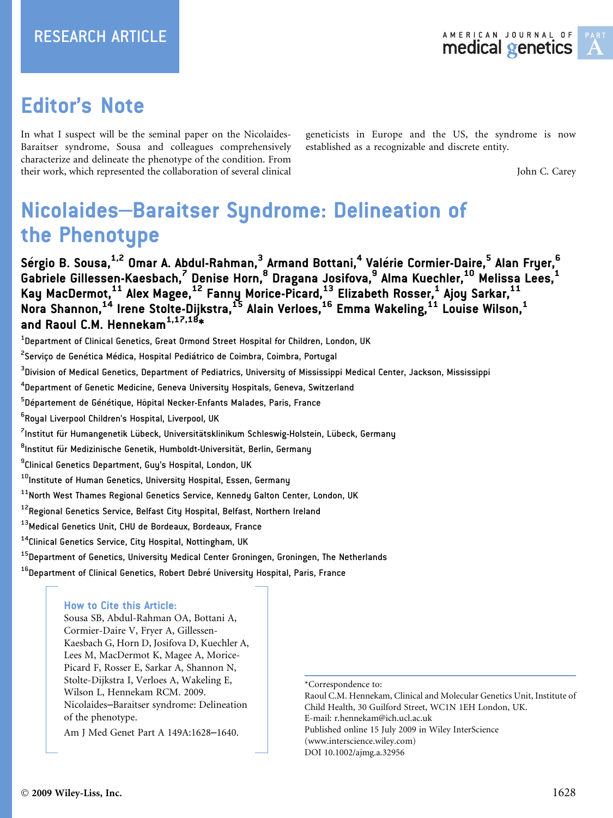

In what I suspect will be the seminal paper on the Nicolaides-Baraitser syndrome, Sousa and colleagues comprehensively characterize and delineate the phenotype of the condition. From their work, which represented the collaboration of several clinical

geneticists in Europe and the US, the syndrome is now established as a recognizable and discrete entity.

John C. Carey

# Nicolaides–Baraitser Syndrome: Delineation of the Phenotype

Sérgio B. Sousa,<sup>1,2</sup> Omar A. Abdul-Rahman,<sup>3</sup> Armand Bottani,<sup>4</sup> Valérie Cormier-Daire,<sup>5</sup> Alan Fryer,<sup>6</sup> Gabriele Gillessen-Kaesbach, $^7$  Denise Horn, $^8$  Dragana Josifova, $^9$  Alma Kuechler, $^{10}$  Melissa Lees, $^1$ Kay MacDermot, $^{11}$  Alex Magee, $^{12}$  Fanny Morice-Picard, $^{13}$  Elizabeth Rosser, $^{1}$  Ajoy Sarkar, $^{11}$ Nora Shannon,<sup>14</sup> Irene Stolte-Dijkstra,<sup>15</sup> Alain Verloes,<sup>16</sup> Emma Wakeling,<sup>11</sup> Louise Wilson,<sup>1</sup> and Raoul C.M. Hennekam<sup>1,17,18</sup>\*

 $^{\rm 1}$ Department of Clinical Genetics, Great Ormond Street Hospital for Children, London, UK

<sup>2</sup>Serviço de Genética Médica, Hospital Pediátrico de Coimbra, Coimbra, Portugal

 $^{\rm 3}$ Division of Medical Genetics, Department of Pediatrics, University of Mississippi Medical Center, Jackson, Mississippi

 $^4$ Department of Genetic Medicine, Geneva University Hospitals, Geneva, Switzerland

 $^{\sf 5}$ Département de Génétique, Hôpital Necker-Enfants Malades, Paris, France

<sup>6</sup>Royal Liverpool Children's Hospital, Liverpool, UK

<sup>7</sup>Institut für Humangenetik Lübeck, Universitätsklinikum Schleswig-Holstein, Lübeck, Germany

<sup>8</sup>Institut für Medizinische Genetik, Humboldt-Universität, Berlin, Germany

<sup>9</sup>Clinical Genetics Department, Guy's Hospital, London, UK

 $10$ Institute of Human Genetics, University Hospital, Essen, Germany

<sup>11</sup>North West Thames Regional Genetics Service, Kennedy Galton Center, London, UK

<sup>12</sup> Regional Genetics Service, Belfast City Hospital, Belfast, Northern Ireland

13Medical Genetics Unit, CHU de Bordeaux, Bordeaux, France

14Clinical Genetics Service, City Hospital, Nottingham, UK

15Department of Genetics, University Medical Center Groningen, Groningen, The Netherlands

 $16$ Department of Clinical Genetics, Robert Debré University Hospital, Paris, France

#### How to Cite this Article:

Sousa SB, Abdul-Rahman OA, Bottani A, Cormier-Daire V, Fryer A, Gillessen-Kaesbach G, Horn D, Josifova D, Kuechler A, Lees M, MacDermot K, Magee A, Morice-Picard F, Rosser E, Sarkar A, Shannon N, Stolte-Dijkstra I, Verloes A, Wakeling E, Wilson L, Hennekam RCM. 2009. Nicolaides–Baraitser syndrome: Delineation of the phenotype.

Am J Med Genet Part A 149A:1628–1640.

\*Correspondence to:

Raoul C.M. Hennekam, Clinical and Molecular Genetics Unit, Institute of Child Health, 30 Guilford Street, WC1N 1EH London, UK. E-mail: r.hennekam@ich.ucl.ac.uk Published online 15 July 2009 in Wiley InterScience (www.interscience.wiley.com) DOI 10.1002/ajmg.a.32956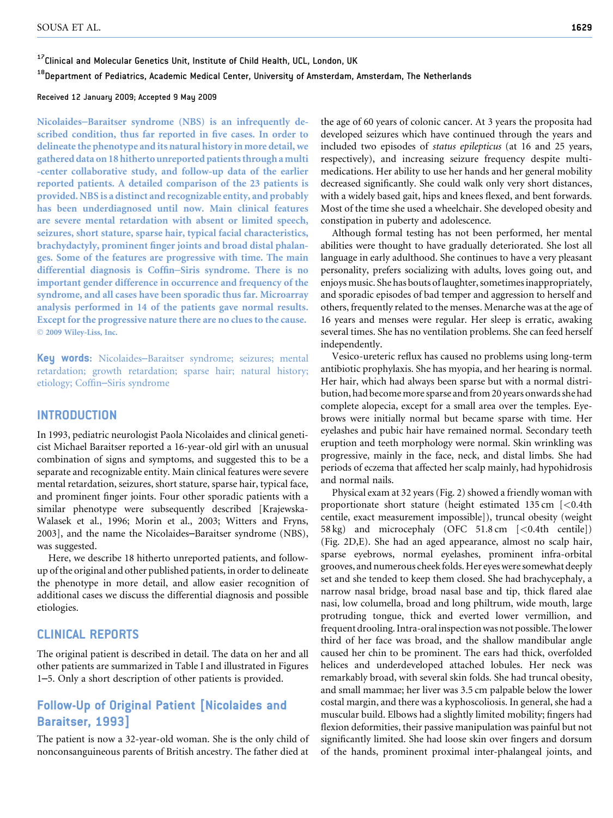<sup>17</sup>Clinical and Molecular Genetics Unit, Institute of Child Health, UCL, London, UK

# $^{18}$ Department of Pediatrics, Academic Medical Center, University of Amsterdam, Amsterdam, The Netherlands

#### Received 12 January 2009; Accepted 9 May 2009

Nicolaides–Baraitser syndrome (NBS) is an infrequently described condition, thus far reported in five cases. In order to delineate the phenotype and its natural history in more detail, we gathered data on 18 hitherto unreported patients through a multi -center collaborative study, and follow-up data of the earlier reported patients. A detailed comparison of the 23 patients is provided. NBS is a distinct and recognizable entity, and probably has been underdiagnosed until now. Main clinical features are severe mental retardation with absent or limited speech, seizures, short stature, sparse hair, typical facial characteristics, brachydactyly, prominent finger joints and broad distal phalanges. Some of the features are progressive with time. The main differential diagnosis is Coffin–Siris syndrome. There is no important gender difference in occurrence and frequency of the syndrome, and all cases have been sporadic thus far. Microarray analysis performed in 14 of the patients gave normal results. Except for the progressive nature there are no clues to the cause. 2009 Wiley-Liss, Inc.

Key words: Nicolaides–Baraitser syndrome; seizures; mental retardation; growth retardation; sparse hair; natural history; etiology; Coffin–Siris syndrome

# **INTRODUCTION**

In 1993, pediatric neurologist Paola Nicolaides and clinical geneticist Michael Baraitser reported a 16-year-old girl with an unusual combination of signs and symptoms, and suggested this to be a separate and recognizable entity. Main clinical features were severe mental retardation, seizures, short stature, sparse hair, typical face, and prominent finger joints. Four other sporadic patients with a similar phenotype were subsequently described [Krajewska-Walasek et al., 1996; Morin et al., 2003; Witters and Fryns, 2003], and the name the Nicolaides–Baraitser syndrome (NBS), was suggested.

Here, we describe 18 hitherto unreported patients, and followup of the original and other published patients, in order to delineate the phenotype in more detail, and allow easier recognition of additional cases we discuss the differential diagnosis and possible etiologies.

# CLINICAL REPORTS

The original patient is described in detail. The data on her and all other patients are summarized in Table I and illustrated in Figures 1–5. Only a short description of other patients is provided.

# Follow-Up of Original Patient [Nicolaides and Baraitser, 1993]

The patient is now a 32-year-old woman. She is the only child of nonconsanguineous parents of British ancestry. The father died at

the age of 60 years of colonic cancer. At 3 years the proposita had developed seizures which have continued through the years and included two episodes of status epilepticus (at 16 and 25 years, respectively), and increasing seizure frequency despite multimedications. Her ability to use her hands and her general mobility decreased significantly. She could walk only very short distances, with a widely based gait, hips and knees flexed, and bent forwards. Most of the time she used a wheelchair. She developed obesity and constipation in puberty and adolescence.

Although formal testing has not been performed, her mental abilities were thought to have gradually deteriorated. She lost all language in early adulthood. She continues to have a very pleasant personality, prefers socializing with adults, loves going out, and enjoys music. She has bouts of laughter, sometimes inappropriately, and sporadic episodes of bad temper and aggression to herself and others, frequently related to the menses. Menarche was at the age of 16 years and menses were regular. Her sleep is erratic, awaking several times. She has no ventilation problems. She can feed herself independently.

Vesico-ureteric reflux has caused no problems using long-term antibiotic prophylaxis. She has myopia, and her hearing is normal. Her hair, which had always been sparse but with a normal distribution, had become more sparse and from 20 years onwards she had complete alopecia, except for a small area over the temples. Eyebrows were initially normal but became sparse with time. Her eyelashes and pubic hair have remained normal. Secondary teeth eruption and teeth morphology were normal. Skin wrinkling was progressive, mainly in the face, neck, and distal limbs. She had periods of eczema that affected her scalp mainly, had hypohidrosis and normal nails.

Physical exam at 32 years (Fig. 2) showed a friendly woman with proportionate short stature (height estimated 135 cm [<0.4th centile, exact measurement impossible]), truncal obesity (weight 58 kg) and microcephaly (OFC 51.8 cm [<0.4th centile]) (Fig. 2D,E). She had an aged appearance, almost no scalp hair, sparse eyebrows, normal eyelashes, prominent infra-orbital grooves, and numerous cheek folds. Her eyes were somewhat deeply set and she tended to keep them closed. She had brachycephaly, a narrow nasal bridge, broad nasal base and tip, thick flared alae nasi, low columella, broad and long philtrum, wide mouth, large protruding tongue, thick and everted lower vermillion, and frequent drooling. Intra-oral inspection was not possible. The lower third of her face was broad, and the shallow mandibular angle caused her chin to be prominent. The ears had thick, overfolded helices and underdeveloped attached lobules. Her neck was remarkably broad, with several skin folds. She had truncal obesity, and small mammae; her liver was 3.5 cm palpable below the lower costal margin, and there was a kyphoscoliosis. In general, she had a muscular build. Elbows had a slightly limited mobility; fingers had flexion deformities, their passive manipulation was painful but not significantly limited. She had loose skin over fingers and dorsum of the hands, prominent proximal inter-phalangeal joints, and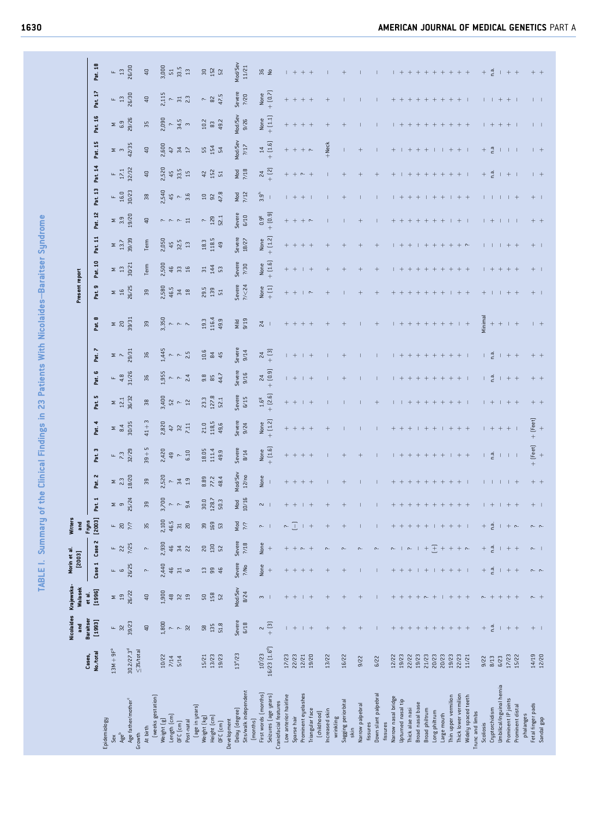| <b>Both</b>          |
|----------------------|
|                      |
|                      |
|                      |
|                      |
|                      |
|                      |
|                      |
|                      |
| I                    |
|                      |
| l                    |
| j                    |
| E                    |
|                      |
|                      |
|                      |
|                      |
| <b>STATE</b>         |
| i                    |
|                      |
|                      |
|                      |
| $\ddot{\phantom{0}}$ |
| i                    |
|                      |
|                      |
|                      |
|                      |
|                      |
|                      |
|                      |
|                      |
|                      |
|                      |
|                      |
|                      |
|                      |
|                      |
|                      |
|                      |
|                      |
|                      |

|                                     |                        | Nicolaides<br>and                | Krajewska-<br>Walasek                      | Morin et al.<br>$[2003]$                |                                          | Witters<br>and                    |                                   |                              |                                                       |                                                                   |                                                                   |                                             |                                                 |                             | Present report                                   |                                                                                   |                                                                                     |                                                                    |                                                                                               |                                                                    |                                                   |                                           |                                                        |
|-------------------------------------|------------------------|----------------------------------|--------------------------------------------|-----------------------------------------|------------------------------------------|-----------------------------------|-----------------------------------|------------------------------|-------------------------------------------------------|-------------------------------------------------------------------|-------------------------------------------------------------------|---------------------------------------------|-------------------------------------------------|-----------------------------|--------------------------------------------------|-----------------------------------------------------------------------------------|-------------------------------------------------------------------------------------|--------------------------------------------------------------------|-----------------------------------------------------------------------------------------------|--------------------------------------------------------------------|---------------------------------------------------|-------------------------------------------|--------------------------------------------------------|
|                                     | No./total<br>Cases,    | Baraitser<br>[1993]              | [1996]<br>et al.                           | Case 1                                  | $\sim$<br>Case                           | $[2003]$<br>Fryns                 | Pat. 1                            | Pat. 2                       | Pat. 3                                                | Pat. 4                                                            | Pat. 5                                                            | Pat. 6                                      | Pat. 7                                          | Pat. 8                      | Pat. 9                                           | Pat. 11<br>Pat. 10                                                                | Pat. 12                                                                             | Pat. 13                                                            | Pat. 14                                                                                       | Pat. 15                                                            | Pat. 16                                           | Pat. 17                                   | Pat. 18                                                |
| Epidemiology                        |                        |                                  |                                            |                                         |                                          |                                   |                                   |                              |                                                       |                                                                   |                                                                   |                                             |                                                 |                             |                                                  |                                                                                   |                                                                                     |                                                                    |                                                                                               |                                                                    |                                                   |                                           |                                                        |
| Ageb<br>Sex                         | $13M + 9Fa$            | $E_{32}$                         | $\geq$ $\frac{5}{4}$                       | டம                                      | $-2$                                     | <b>H</b> 20                       |                                   | $\geq$ 3<br>$\frac{3}{20}$   | $F = 7.3$<br>32/29                                    | $M = 8.4$<br>30/35                                                | $M_{2,1}$<br>36/32                                                | $4.8$<br>31/26                              | $\frac{18}{2}$ $\frac{29}{31}$                  |                             | $\times 10^{15}$                                 | $M$<br>$13.7$<br>$13.7$                                                           | 29.30                                                                               | $+ 16.0$<br>30/23                                                  | $F$ 17.1<br>32/32                                                                             | $\times$ 35                                                        | $\times 3000$<br>$29.26$                          | $-13$<br>26/30                            | $-13.50$                                               |
| Age father/mother <sup>c</sup>      | 30.2/27.3 <sup>d</sup> | 39/23                            | 26/22                                      | 26/25                                   | <b>52/s</b>                              | Šν.                               | 25/24                             |                              |                                                       |                                                                   |                                                                   |                                             |                                                 | $\geq$ $\frac{5}{3}$        |                                                  | $\geq$ 13 $\frac{2}{30}$                                                          |                                                                                     |                                                                    |                                                                                               |                                                                    |                                                   |                                           |                                                        |
| Growth                              | $\leq$ 3%/total        |                                  |                                            |                                         |                                          |                                   |                                   |                              |                                                       |                                                                   |                                                                   |                                             |                                                 |                             |                                                  |                                                                                   |                                                                                     |                                                                    |                                                                                               |                                                                    |                                                   |                                           |                                                        |
| At birth                            |                        | $\overline{4}$                   | $\overline{4}$                             | $\sim$                                  | $\sim$                                   | 35                                |                                   | $3\overline{9}$              | $39 + 5$                                              | $41 + 3$                                                          | $38\,$                                                            | $36\,$                                      | 36                                              | $\overline{39}$             | $\overline{39}$                                  | $\mathsf{Term}$<br>Term                                                           | $\hbox{40}$                                                                         | $38\,$                                                             | $40$                                                                                          | $\frac{1}{2}$                                                      | 35                                                | $40$                                      | $\hbox{40}$                                            |
| [weeks gestation]                   |                        |                                  |                                            |                                         |                                          |                                   |                                   |                              |                                                       |                                                                   |                                                                   |                                             |                                                 |                             |                                                  |                                                                                   |                                                                                     |                                                                    |                                                                                               |                                                                    |                                                   |                                           |                                                        |
| Weight (g)                          | 10/22<br>$7/14$        | 1,800                            | 1,900                                      | 2,440                                   | 2,930                                    | 2,100                             |                                   | $2,520$<br>$2,3,4$<br>$1,9$  | $2,420$<br>4 9 $\sim$ 50                              | 2,820<br>47<br>32<br>7.11                                         | $\begin{array}{c} 3.400 \\ 2.500 \\ 0.000 \\ \end{array} \sim 2.$ | $1,955$<br>$2,4$<br>$2,4$                   | $1,445$<br>$2,5$<br>$2,5$                       | $3.350$<br>$2.850$          | $2,580$<br>46.5<br>43<br>34<br>38                | 2,050<br>45<br>32.5<br>13<br>256<br>4 3 3 4<br>4 3 4 5                            | $\begin{array}{ccc} \sim & \sim & \sim & \frac{\epsilon_1}{\epsilon_1} \end{array}$ | $2,540$<br>45 ~ 3.6                                                | 2,520<br>45<br>33.5<br>15                                                                     | $2, 600$<br>$4, 2, 4, 5$                                           | $2,090$<br>$2,4.5$<br>$3,4.5$                     | $2,115$<br>$2,3$<br>$2,3$                 | $\begin{array}{c} 3,000 \\ 51,03 \\ 33,13 \end{array}$ |
| Length [cm]                         | $\sqrt{5/14}$          | $\sim~\sim$                      | $48$<br>$32$                               | 46                                      | 46                                       | 46.5                              |                                   |                              |                                                       |                                                                   |                                                                   |                                             |                                                 |                             |                                                  |                                                                                   |                                                                                     |                                                                    |                                                                                               |                                                                    |                                                   |                                           |                                                        |
| Post-natal<br>OFC (cm)              |                        | 32                               | 19                                         | 31<br>$\circ$                           | 34<br>$\overline{c}$                     | $\overline{31}$<br>$\overline{c}$ |                                   |                              |                                                       |                                                                   |                                                                   |                                             |                                                 |                             |                                                  |                                                                                   |                                                                                     |                                                                    |                                                                                               |                                                                    |                                                   |                                           |                                                        |
| [age in years]                      |                        |                                  |                                            |                                         |                                          |                                   |                                   |                              |                                                       |                                                                   |                                                                   |                                             |                                                 |                             |                                                  |                                                                                   |                                                                                     |                                                                    |                                                                                               |                                                                    |                                                   |                                           |                                                        |
| Weight [kg]                         | 15/21                  | 58                               |                                            |                                         |                                          | 39                                |                                   |                              |                                                       |                                                                   |                                                                   |                                             |                                                 |                             |                                                  |                                                                                   |                                                                                     |                                                                    |                                                                                               |                                                                    |                                                   |                                           |                                                        |
| Height (cm)                         | 13/23                  | 135                              | $\begin{array}{c} 50 \\ 158 \end{array}$   | $\begin{array}{c} 26 \\ 20 \end{array}$ | $\begin{array}{c} 20 \\ 130 \end{array}$ | 169                               |                                   |                              |                                                       |                                                                   |                                                                   |                                             |                                                 |                             |                                                  |                                                                                   |                                                                                     |                                                                    |                                                                                               |                                                                    |                                                   |                                           |                                                        |
| OFC (cm)                            | 19/23                  | 51.8                             | 52                                         | 46                                      | 52                                       | 53                                |                                   | 882<br>72<br>484             | $\begin{array}{c} 18.05 \\ 111.4 \\ 49.9 \end{array}$ | $21.0$<br>$118,5$<br>$49,6$                                       | $23.3$<br>$127.8$<br>$52.1$                                       | $9.8$<br>$85$<br>$44.7$                     | $\begin{array}{c} 10.6 \\ 84 \\ 45 \end{array}$ | $19.3$<br>$116.4$<br>$49.9$ | $\begin{array}{c} 29.5 \\ 139 \\ 51 \end{array}$ | $\begin{array}{c} 18.3 \\ 118.5 \\ 49 \end{array}$<br>$\frac{1}{3}$ $\frac{3}{3}$ | $.29$<br>$129$<br>$52.1$                                                            | 9800000000000000000000                                             | $42$ $152$ $51$                                                                               | 554                                                                | $\begin{array}{c} 10.2 \\ 83 \\ 49.2 \end{array}$ | $\frac{2}{9}$ $\frac{2}{9}$ $\frac{2}{9}$ | $30$ $152$ $52$                                        |
| Development                         |                        |                                  |                                            |                                         |                                          |                                   |                                   |                              |                                                       |                                                                   |                                                                   |                                             |                                                 |                             |                                                  |                                                                                   |                                                                                     |                                                                    |                                                                                               |                                                                    |                                                   |                                           |                                                        |
| Delay (degree)                      | $13^{e}/23$            | Severe<br>$6/18$                 | Mod/Sev<br>8/24                            | Severe<br>P/No                          | Severe<br>3/18                           | Mod<br>خ⁄خ                        | Mod<br>10/16                      | Mod/Sev<br>12/no             | Severe<br>8/14                                        | Severe<br>9/24                                                    | Severe<br>6/15                                                    | Severe<br>9/16                              | Severe<br>9/14                                  | Mild<br>9/19                | Severe<br>$2/<24$                                | Severe<br>18/27<br>Severe<br>?/30                                                 | Severe<br>6/10                                                                      | Mod<br>?/12                                                        | Mod<br>2/18                                                                                   | Mod/Sev<br>?/17                                                    | Mod/Sev<br>9/26                                   | Severe<br>?/20                            | Mod/Sev<br>11/21                                       |
| Sits/walk independent<br>[months]   |                        |                                  |                                            |                                         |                                          |                                   |                                   |                              |                                                       |                                                                   |                                                                   |                                             |                                                 |                             |                                                  |                                                                                   |                                                                                     |                                                                    |                                                                                               |                                                                    |                                                   |                                           |                                                        |
| First words (months)                | 10 <sup>f</sup> /23    | $\sim$                           | $\sim$                                     | None                                    | None                                     | ς.                                |                                   |                              |                                                       |                                                                   |                                                                   |                                             |                                                 |                             |                                                  |                                                                                   |                                                                                     |                                                                    |                                                                                               |                                                                    |                                                   |                                           |                                                        |
| Seizures (age years)                | $16/23$ $(1.6d)$       | $\frac{1}{2}$                    |                                            | $^{+}$                                  | $^{+}$                                   |                                   | $\sim$ $+$ $-$                    |                              | None<br>+ $(1.6)$                                     | None<br>+ $(1.2)$                                                 | $1.6^{8}$<br>+ (2.6)                                              | $24$<br>+ [0.9]                             | $\begin{array}{c} \mathbf{24} \\ + \end{array}$ |                             | None $+$ $(1)$                                   | None<br>$+$ $(1.2)$<br>None<br>$+ (1.6)$                                          | $\begin{matrix} 6 \cdot 0 & + \\ 0 & 0 \end{matrix}$                                | 3.9 <sup>h</sup>                                                   | $\begin{array}{c}\n\stackrel{\rightarrow}{\sim} \\ \stackrel{\rightarrow}{\sim}\n\end{array}$ | $14$<br>+ (1.6)                                                    | None<br>$+$ $(1.1)$                               | None<br>+ $(0.7)$                         | $\begin{array}{c} 36 \\ 8 \end{array}$                 |
| Craniofacial features               |                        |                                  |                                            |                                         |                                          |                                   |                                   | $\frac{e}{2}$ + + + + +      |                                                       |                                                                   |                                                                   |                                             |                                                 |                             |                                                  |                                                                                   |                                                                                     |                                                                    |                                                                                               |                                                                    |                                                   |                                           |                                                        |
| Low anterior hairline               | 17/23                  |                                  | $^{+}$                                     |                                         |                                          | $\sim$                            | $+ + + +$                         |                              |                                                       | $+~+~+~+$                                                         | $+~+~+~+$                                                         | $\begin{array}{cccc} + & + & + \end{array}$ | $\begin{array}{cccc} +&+&+&+ \end{array}$       |                             | $+~+~+~\circ\cdot$                               | $+~+~+~+$<br>$+ + + + +$                                                          | $+~+~+~\sim$                                                                        | $\begin{array}{cccccccccccccc} 1 & + & + & + & 1 \end{array}$      | $+~+~\sim~+$                                                                                  | $+~+~+~\sim$                                                       | $+ + + +$                                         | $+~+~+~+$                                 | $+ + + +$                                              |
| Sparse hair                         | 22/23                  | $+$                              |                                            | $^{+}$                                  |                                          | I                                 |                                   |                              |                                                       |                                                                   |                                                                   |                                             |                                                 |                             |                                                  |                                                                                   |                                                                                     |                                                                    |                                                                                               |                                                                    |                                                   |                                           |                                                        |
| Prominent eyelashes                 | 12/21                  | $+$                              | т.                                         | $\! + \!\!\!\!$                         | $\sim$                                   | т                                 |                                   |                              |                                                       |                                                                   |                                                                   |                                             |                                                 |                             |                                                  |                                                                                   |                                                                                     |                                                                    |                                                                                               |                                                                    |                                                   |                                           |                                                        |
| Triangular face<br>[childhood]      | 19/20                  |                                  | $\left. +\right.$                          | $^{+}$                                  | $\left. +\right.$                        | $\left. +\right.$                 |                                   |                              |                                                       |                                                                   |                                                                   |                                             |                                                 |                             |                                                  |                                                                                   |                                                                                     |                                                                    |                                                                                               |                                                                    |                                                   |                                           |                                                        |
| Increased skin                      | 13/22                  | $^{+}$                           | $^{+}$                                     | $^{+}$                                  | $\sim$                                   | $^{+}$                            | $\hspace{1.0cm} + \hspace{1.0cm}$ | $\sim 10^{-1}$               |                                                       | $\, + \,$                                                         | $\sim 10$                                                         | $\frac{1}{2}$ +                             | $\sim 10$                                       |                             | $^+$                                             | $^+$<br>$^{\rm +}$                                                                |                                                                                     | $\sim 1$ and                                                       | $\sim 10^5$                                                                                   | $+$ Neck                                                           | $\left. +\right.$                                 | $+$                                       |                                                        |
| wrinkling                           |                        |                                  |                                            |                                         |                                          |                                   |                                   |                              |                                                       |                                                                   |                                                                   |                                             |                                                 |                             |                                                  |                                                                                   |                                                                                     |                                                                    |                                                                                               |                                                                    |                                                   |                                           |                                                        |
| Sagging periorbital                 | 16/22                  | $^{+}$                           | $^{+}$                                     | $^{+}$                                  | $\sim$                                   | $^{+}$                            | $\! +$                            | $+$                          | $+++++--++-+-++++++++++++--+\frac{d}{2}+++-$          | $\sim 10$                                                         | and The                                                           |                                             |                                                 |                             | $\top$                                           | $^+$                                                                              | $\mathcal{A} \subset \mathcal{A}$ .                                                 | $\,$ + $\,$                                                        | $^+$                                                                                          | $\sim 10$                                                          | $^{\rm +}$                                        | $\sim 1$ , $\sim 1$ .                     | $^{+}$                                                 |
| skin                                |                        |                                  |                                            |                                         | $\sim$                                   |                                   |                                   |                              |                                                       | $\sim 1$                                                          |                                                                   |                                             |                                                 |                             |                                                  |                                                                                   |                                                                                     | $\sim 10$                                                          |                                                                                               | $+$                                                                |                                                   |                                           |                                                        |
| Narrow palpebral<br>fissures        | 9/22                   | $^{+}$                           | $^{+}$                                     |                                         |                                          |                                   |                                   | $\sim 1$ , $\sim 1$ , $\sim$ |                                                       |                                                                   |                                                                   |                                             |                                                 |                             | $\qquad \qquad +$                                | $^+$                                                                              | $^+$                                                                                |                                                                    | $^+$                                                                                          |                                                                    |                                                   |                                           |                                                        |
| Down slant palpebral                | 6/22                   |                                  |                                            |                                         | $\sim$                                   |                                   |                                   |                              |                                                       | $\sim 10$                                                         | $+$                                                               | $\sim 1$                                    | $\sim 10$                                       |                             | $^{\rm +}$                                       | $^+$<br>$+$                                                                       | $\sim 1$                                                                            | $\sim 10$                                                          | $\,$ + $\,$                                                                                   | $\sim 1$                                                           | $\sim 10$                                         | $\sim 10$                                 |                                                        |
| fissures                            |                        |                                  |                                            |                                         |                                          |                                   |                                   |                              |                                                       |                                                                   |                                                                   |                                             |                                                 |                             |                                                  |                                                                                   |                                                                                     |                                                                    |                                                                                               |                                                                    |                                                   |                                           |                                                        |
| Narrow nasal bridge                 | 12/22                  | $^+$                             | $^{+}$                                     | $^{+}$                                  | $\sim$                                   | $^{+}$                            |                                   |                              |                                                       |                                                                   |                                                                   |                                             |                                                 |                             |                                                  |                                                                                   |                                                                                     |                                                                    |                                                                                               |                                                                    |                                                   |                                           |                                                        |
| Uptumed nasal tip                   | 19/23                  | $+$                              | $\begin{array}{c} + \end{array}$           | $^{+}$                                  |                                          |                                   |                                   |                              |                                                       |                                                                   |                                                                   |                                             |                                                 |                             |                                                  |                                                                                   |                                                                                     |                                                                    |                                                                                               |                                                                    |                                                   |                                           |                                                        |
| Broad nasal base<br>Thick alae nasi | 22/22<br>19/23         | $+$                              | $\begin{array}{c} + \end{array}$<br>$^{+}$ | $^{+}$                                  | $\sim$                                   | $^{+}$                            | $+ + + + + + + +$                 |                              |                                                       |                                                                   |                                                                   |                                             |                                                 |                             |                                                  |                                                                                   |                                                                                     |                                                                    |                                                                                               |                                                                    | $1 + + + + + + + +$                               |                                           |                                                        |
| Broad philtrum                      | 21/23                  | $\begin{array}{c} + \end{array}$ | $\sim$                                     | $\! +$                                  |                                          | $\boldsymbol{+}$                  |                                   |                              |                                                       |                                                                   |                                                                   |                                             |                                                 |                             |                                                  |                                                                                   |                                                                                     |                                                                    |                                                                                               |                                                                    |                                                   |                                           |                                                        |
| Long philtrum                       | 20/23                  | $\begin{array}{c} + \end{array}$ | $^{+}$                                     |                                         | $\exists$                                |                                   |                                   |                              |                                                       |                                                                   |                                                                   |                                             |                                                 |                             |                                                  |                                                                                   |                                                                                     |                                                                    |                                                                                               |                                                                    |                                                   |                                           |                                                        |
| Large mouth                         | 20/23                  |                                  |                                            | $^{+}$                                  |                                          | $\! +$                            |                                   |                              |                                                       |                                                                   |                                                                   |                                             |                                                 |                             |                                                  |                                                                                   |                                                                                     |                                                                    |                                                                                               |                                                                    |                                                   |                                           |                                                        |
| Thin upper vermilion                | 19/23                  | $+$                              | $^{+}$                                     | $^{+}$                                  | $\begin{array}{c} + \end{array}$         |                                   |                                   |                              |                                                       | $+ + + + + + + + + + + + \nonumber$                               | $1 1 + + + + + + + + 1$                                           | $1 + + + + + + + + + 1$                     | $1 + + + + + + + + + 1$                         |                             | $+ + + + + + + + + + +$                          | $1 + + 1 + + + + + \sim$<br>$1 + + + + + + + + + +$                               | + + + + + + + + + +                                                                 | $1 + + + + 1 + + 1 + +$                                            |                                                                                               | $+ \;\; + \;\; + \;\; + \;\; + \;\; + \;\; + \;\; + \;\; + \;\; +$ |                                                   |                                           | 1 + + + + + + + + +                                    |
| Thick lower vermilion               | 22/23                  | $+$ +                            | $\begin{array}{c} + \end{array}$           |                                         | $+$ ^                                    | $\begin{array}{c} + \end{array}$  | $+$ +                             |                              |                                                       |                                                                   |                                                                   |                                             |                                                 |                             |                                                  |                                                                                   |                                                                                     |                                                                    |                                                                                               |                                                                    | $+$ +                                             |                                           |                                                        |
| Widely spaced teeth                 | 11/21                  |                                  | $^{+}$                                     |                                         |                                          |                                   |                                   |                              |                                                       |                                                                   |                                                                   |                                             |                                                 |                             |                                                  |                                                                                   |                                                                                     |                                                                    |                                                                                               |                                                                    |                                                   |                                           |                                                        |
| Trunc and limbs<br>Scoliosis        | 9/22                   | $^{+}$                           | $\sim$                                     |                                         | $^{+}$                                   | $\qquad \qquad +$                 |                                   |                              |                                                       |                                                                   |                                                                   |                                             |                                                 | $\frac{1}{2}$ = + + + +     |                                                  |                                                                                   |                                                                                     |                                                                    |                                                                                               |                                                                    |                                                   | $1 + + + 1$                               |                                                        |
| Cryptorchidism                      | 8/13                   | n.a.                             | $\begin{array}{c} + \end{array}$           | n.a.                                    | n.a.                                     | n.a.                              |                                   |                              |                                                       |                                                                   |                                                                   |                                             |                                                 |                             |                                                  |                                                                                   |                                                                                     |                                                                    |                                                                                               |                                                                    |                                                   |                                           |                                                        |
| Umbilical/inguinal hernia           | 6/23                   |                                  | $+$                                        | Т                                       |                                          | Т                                 |                                   |                              |                                                       |                                                                   |                                                                   |                                             |                                                 |                             |                                                  |                                                                                   |                                                                                     |                                                                    |                                                                                               |                                                                    |                                                   |                                           |                                                        |
| Prominent IP joints                 | 17/23                  | $+ + +$                          | $+$                                        |                                         |                                          |                                   | $1 + 1 + 1$                       | $-1$ 1 $-1$ 1 $+$            |                                                       | $\begin{array}{cccccccccccccc} 1 & + & + & + & + & 1 \end{array}$ | $1 + 1 + +$                                                       | $\frac{1}{2}$ $\frac{1}{2}$ + +             | $\frac{1}{2}$ $\frac{3}{2}$ + +                 |                             | $+ + + +$                                        | $1 + 1 + + +$<br>$1 + + + + +$                                                    | $+ + + + +$                                                                         | $\begin{array}{cccccccccccccc} -1 & 1 & 1 & 1 & 1 & + \end{array}$ | $+ 2 + 1$                                                                                     | $+ 2 + 1 + 1$                                                      | $1 + + + + 1$                                     |                                           | $+$ $\frac{d}{2}$   + +                                |
| Prominent distal                    | 15/22                  |                                  | $^{+}$                                     | $+$                                     | $^{+}$                                   | $\sim$                            |                                   |                              |                                                       |                                                                   |                                                                   |                                             |                                                 |                             |                                                  |                                                                                   |                                                                                     |                                                                    |                                                                                               |                                                                    |                                                   |                                           |                                                        |
| phalanges                           |                        |                                  |                                            |                                         |                                          |                                   |                                   |                              |                                                       |                                                                   |                                                                   |                                             |                                                 |                             |                                                  |                                                                                   |                                                                                     |                                                                    |                                                                                               |                                                                    |                                                   |                                           |                                                        |
| Fetal finger pads<br>Sandal gap     | 14/19<br>12/20         | $\! + \!\!\!\!$                  | $\sim +$                                   | $\sim$ $\sim$                           | $\sim$                                   | $\sim$ $\sim$                     | $+$ 1                             | $+$ +                        | $+$ [Feet]                                            | $+ (Feet)$                                                        | $+$ +                                                             | $+$ +                                       |                                                 | $+$                         | $+$                                              | $+$ $-$<br>$+$ 1                                                                  | $+$ +                                                                               | $+$ 1                                                              |                                                                                               | $+$                                                                | $\vert - \vert$                                   | $\mathbf{I} = \mathbf{I}$                 |                                                        |
|                                     |                        |                                  |                                            |                                         |                                          |                                   |                                   |                              |                                                       |                                                                   |                                                                   |                                             |                                                 |                             |                                                  |                                                                                   |                                                                                     |                                                                    |                                                                                               |                                                                    |                                                   |                                           |                                                        |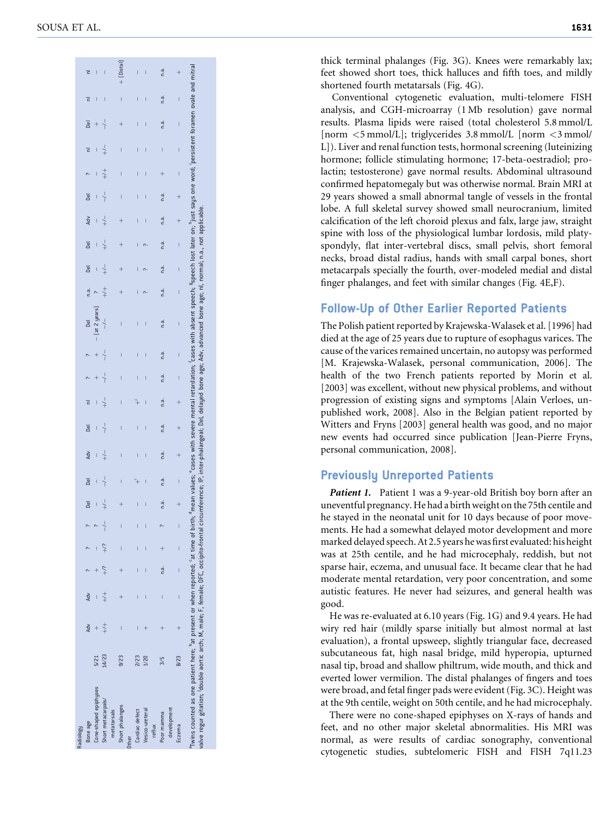| n.a.<br>I<br>굳<br>I<br>Ī<br>Ī<br>n.a.<br>I<br>I<br>I<br>Ī<br>I<br>굳<br>n.a.<br><b>Je</b><br>Ī<br>Ī<br>ı<br>I<br>I<br>I<br>굳<br>ı<br>ı<br>ı<br>I<br>Ī<br>I<br>Ī<br>ı<br>$\frac{1}{1}$<br>n.a.<br>ᅙ<br>I<br>ist<br>$\frac{1}{2}$<br>n.a.<br>I<br>Ï<br>ı<br>later on:<br>ded bone age; Adv, advanced bone age; ni, normal; n.a., not appl<br>n.a.<br>Bel<br>I<br>I<br>ı<br>speech lost<br>n.a.<br>굠<br>I<br>I<br>I<br>n.a.<br>n.a.<br>ı<br>Ī<br>lat 2 uears<br>I<br>n.a.<br><u>De</u><br>I<br>I<br>I<br>I<br>ì<br><b>WI</b> Ses<br>ļ<br>n.a.<br>Ï<br>Ī<br>Ī<br>ı<br>$\frac{1}{1}$<br>n.a.<br>I<br>I<br>I<br>ı<br>$\frac{1}{+}$<br>n.a.<br>I<br>$\overline{c}$<br>ı<br>ı<br>severe ment<br>halangeal: Del.<br>$\frac{1}{1}$<br>n.a.<br>っ<br>I<br>I<br>I<br>ı<br>$\frac{1}{1}$<br>š<br>n.a.<br>I<br>I<br>I<br>I<br>Inter-o<br>$\frac{1}{1}$<br>n.a.<br>Je<br>I<br>I<br>ı<br>음<br>n.a.<br>I<br>I<br>ı<br>"Iwins counted as one patient here; <sup>b</sup> at present or when reported; <sup>c</sup> at time of birth;<br>valve regur gitation; double aortic arch; M, male; F, female; OFC, occipito-frontal circ<br>$\frac{1}{1}$<br>l<br>l<br>I<br>l<br>$\div$<br>I<br>I<br>I<br>$\overline{\phantom{a}}$<br>ļ<br>$\frac{1}{2}$<br>n.a.<br>$^{+}$<br>$^{+}$<br>I<br>I<br>I<br>$\ddagger$<br>Ad <sub>v</sub><br>$\overline{\phantom{a}}$<br>$\overline{\phantom{a}}$<br>$\overline{1}$<br>$\overline{1}$<br>I<br>$+\frac{1}{x}$<br>Adv<br>$\overline{1}$<br>$^{+}$<br>$\overline{\phantom{a}}$<br>14/23<br>8/23<br>9/23<br>2/23<br>5/21<br>1/20<br>3/5 | Radiology | Bone age | Cone-shaped epiphyses | Short metacarpals/ | metatarsals | Short phalanges | Other | Cardiac defect | Vesico-ureteral | reflux | Poor mamma | development | Eczema |  |
|---------------------------------------------------------------------------------------------------------------------------------------------------------------------------------------------------------------------------------------------------------------------------------------------------------------------------------------------------------------------------------------------------------------------------------------------------------------------------------------------------------------------------------------------------------------------------------------------------------------------------------------------------------------------------------------------------------------------------------------------------------------------------------------------------------------------------------------------------------------------------------------------------------------------------------------------------------------------------------------------------------------------------------------------------------------------------------------------------------------------------------------------------------------------------------------------------------------------------------------------------------------------------------------------------------------------------------------------------------------------------------------------------------------------------------------------------------------------------------------------------------------------------------------------------|-----------|----------|-----------------------|--------------------|-------------|-----------------|-------|----------------|-----------------|--------|------------|-------------|--------|--|
|                                                                                                                                                                                                                                                                                                                                                                                                                                                                                                                                                                                                                                                                                                                                                                                                                                                                                                                                                                                                                                                                                                                                                                                                                                                                                                                                                                                                                                                                                                                                                   |           |          |                       |                    |             |                 |       |                |                 |        |            |             |        |  |
|                                                                                                                                                                                                                                                                                                                                                                                                                                                                                                                                                                                                                                                                                                                                                                                                                                                                                                                                                                                                                                                                                                                                                                                                                                                                                                                                                                                                                                                                                                                                                   |           |          |                       |                    |             |                 |       |                |                 |        |            |             |        |  |
|                                                                                                                                                                                                                                                                                                                                                                                                                                                                                                                                                                                                                                                                                                                                                                                                                                                                                                                                                                                                                                                                                                                                                                                                                                                                                                                                                                                                                                                                                                                                                   |           |          |                       |                    |             |                 |       |                |                 |        |            |             |        |  |
|                                                                                                                                                                                                                                                                                                                                                                                                                                                                                                                                                                                                                                                                                                                                                                                                                                                                                                                                                                                                                                                                                                                                                                                                                                                                                                                                                                                                                                                                                                                                                   |           |          |                       |                    |             |                 |       |                |                 |        |            |             |        |  |
|                                                                                                                                                                                                                                                                                                                                                                                                                                                                                                                                                                                                                                                                                                                                                                                                                                                                                                                                                                                                                                                                                                                                                                                                                                                                                                                                                                                                                                                                                                                                                   |           |          |                       |                    |             |                 |       |                |                 |        |            |             |        |  |
|                                                                                                                                                                                                                                                                                                                                                                                                                                                                                                                                                                                                                                                                                                                                                                                                                                                                                                                                                                                                                                                                                                                                                                                                                                                                                                                                                                                                                                                                                                                                                   |           |          |                       |                    |             |                 |       |                |                 |        |            |             |        |  |
|                                                                                                                                                                                                                                                                                                                                                                                                                                                                                                                                                                                                                                                                                                                                                                                                                                                                                                                                                                                                                                                                                                                                                                                                                                                                                                                                                                                                                                                                                                                                                   |           |          |                       |                    |             |                 |       |                |                 |        |            |             |        |  |
|                                                                                                                                                                                                                                                                                                                                                                                                                                                                                                                                                                                                                                                                                                                                                                                                                                                                                                                                                                                                                                                                                                                                                                                                                                                                                                                                                                                                                                                                                                                                                   |           |          |                       |                    |             |                 |       |                |                 |        |            |             |        |  |
|                                                                                                                                                                                                                                                                                                                                                                                                                                                                                                                                                                                                                                                                                                                                                                                                                                                                                                                                                                                                                                                                                                                                                                                                                                                                                                                                                                                                                                                                                                                                                   |           |          |                       |                    |             |                 |       |                |                 |        |            |             |        |  |
|                                                                                                                                                                                                                                                                                                                                                                                                                                                                                                                                                                                                                                                                                                                                                                                                                                                                                                                                                                                                                                                                                                                                                                                                                                                                                                                                                                                                                                                                                                                                                   |           |          |                       |                    |             |                 |       |                |                 |        |            |             |        |  |
|                                                                                                                                                                                                                                                                                                                                                                                                                                                                                                                                                                                                                                                                                                                                                                                                                                                                                                                                                                                                                                                                                                                                                                                                                                                                                                                                                                                                                                                                                                                                                   |           |          |                       |                    |             |                 |       |                |                 |        |            |             |        |  |
|                                                                                                                                                                                                                                                                                                                                                                                                                                                                                                                                                                                                                                                                                                                                                                                                                                                                                                                                                                                                                                                                                                                                                                                                                                                                                                                                                                                                                                                                                                                                                   |           |          |                       |                    |             |                 |       |                |                 |        |            |             |        |  |
|                                                                                                                                                                                                                                                                                                                                                                                                                                                                                                                                                                                                                                                                                                                                                                                                                                                                                                                                                                                                                                                                                                                                                                                                                                                                                                                                                                                                                                                                                                                                                   |           |          |                       |                    |             |                 |       |                |                 |        |            |             |        |  |
|                                                                                                                                                                                                                                                                                                                                                                                                                                                                                                                                                                                                                                                                                                                                                                                                                                                                                                                                                                                                                                                                                                                                                                                                                                                                                                                                                                                                                                                                                                                                                   |           |          |                       |                    |             |                 |       |                |                 |        |            |             |        |  |
|                                                                                                                                                                                                                                                                                                                                                                                                                                                                                                                                                                                                                                                                                                                                                                                                                                                                                                                                                                                                                                                                                                                                                                                                                                                                                                                                                                                                                                                                                                                                                   |           |          |                       |                    |             |                 |       |                |                 |        |            |             |        |  |
|                                                                                                                                                                                                                                                                                                                                                                                                                                                                                                                                                                                                                                                                                                                                                                                                                                                                                                                                                                                                                                                                                                                                                                                                                                                                                                                                                                                                                                                                                                                                                   |           |          |                       |                    |             |                 |       |                |                 |        |            |             |        |  |
|                                                                                                                                                                                                                                                                                                                                                                                                                                                                                                                                                                                                                                                                                                                                                                                                                                                                                                                                                                                                                                                                                                                                                                                                                                                                                                                                                                                                                                                                                                                                                   |           |          |                       |                    |             |                 |       |                |                 |        |            |             |        |  |
|                                                                                                                                                                                                                                                                                                                                                                                                                                                                                                                                                                                                                                                                                                                                                                                                                                                                                                                                                                                                                                                                                                                                                                                                                                                                                                                                                                                                                                                                                                                                                   |           |          |                       |                    |             |                 |       |                |                 |        |            |             |        |  |
|                                                                                                                                                                                                                                                                                                                                                                                                                                                                                                                                                                                                                                                                                                                                                                                                                                                                                                                                                                                                                                                                                                                                                                                                                                                                                                                                                                                                                                                                                                                                                   |           |          |                       |                    |             |                 |       |                |                 |        |            |             |        |  |
|                                                                                                                                                                                                                                                                                                                                                                                                                                                                                                                                                                                                                                                                                                                                                                                                                                                                                                                                                                                                                                                                                                                                                                                                                                                                                                                                                                                                                                                                                                                                                   |           |          |                       |                    |             |                 |       |                |                 |        |            |             |        |  |
|                                                                                                                                                                                                                                                                                                                                                                                                                                                                                                                                                                                                                                                                                                                                                                                                                                                                                                                                                                                                                                                                                                                                                                                                                                                                                                                                                                                                                                                                                                                                                   |           |          |                       |                    |             |                 |       |                |                 |        |            |             |        |  |
|                                                                                                                                                                                                                                                                                                                                                                                                                                                                                                                                                                                                                                                                                                                                                                                                                                                                                                                                                                                                                                                                                                                                                                                                                                                                                                                                                                                                                                                                                                                                                   |           |          |                       |                    |             |                 |       |                |                 |        |            |             |        |  |
|                                                                                                                                                                                                                                                                                                                                                                                                                                                                                                                                                                                                                                                                                                                                                                                                                                                                                                                                                                                                                                                                                                                                                                                                                                                                                                                                                                                                                                                                                                                                                   |           |          |                       |                    |             |                 |       |                |                 |        |            |             |        |  |

Conventional cytogenetic evaluation, multi-telomere FISH analysis, and CGH-microarray (1 Mb resolution) gave normal results. Plasma lipids were raised (total cholesterol 5.8 mmol/L [norm <5 mmol/L]; triglycerides 3.8 mmol/L [norm <3 mmol/ L]). Liver and renal function tests, hormonal screening (luteinizing hormone; follicle stimulating hormone; 17-beta-oestradiol; prolactin; testosterone) gave normal results. Abdominal ultrasound confirmed hepatomegaly but was otherwise normal. Brain MRI at 29 years showed a small abnormal tangle of vessels in the frontal lobe. A full skeletal survey showed small neurocranium, limited calcification of the left choroid plexus and falx, large jaw, straight spine with loss of the physiological lumbar lordosis, mild platyspondyly, flat inter-vertebral discs, small pelvis, short femoral necks, broad distal radius, hands with small carpal bones, short metacarpals specially the fourth, over-modeled medial and distal finger phalanges, and feet with similar changes (Fig. 4E,F).

# Follow-Up of Other Earlier Reported Patients

The Polish patient reported by Krajewska-Walasek et al. [1996] had died at the age of 25 years due to rupture of esophagus varices. The cause of the varices remained uncertain, no autopsy was performed [M. Krajewska-Walasek, personal communication, 2006]. The health of the two French patients reported by Morin et al. [2003] was excellent, without new physical problems, and without progression of existing signs and symptoms [Alain Verloes, unpublished work, 2008]. Also in the Belgian patient reported by Witters and Fryns [2003] general health was good, and no major new events had occurred since publication [Jean-Pierre Fryns, personal communication, 2008].

# Previously Unreported Patients

Patient 1. Patient 1 was a 9-year-old British boy born after an uneventful pregnancy. He had a birth weight on the 75th centile and he stayed in the neonatal unit for 10 days because of poor movements. He had a somewhat delayed motor development and more marked delayed speech. At 2.5 years he was first evaluated: his height was at 25th centile, and he had microcephaly, reddish, but not sparse hair, eczema, and unusual face. It became clear that he had moderate mental retardation, very poor concentration, and some autistic features. He never had seizures, and general health was good.

He was re-evaluated at 6.10 years (Fig. 1G) and 9.4 years. He had wiry red hair (mildly sparse initially but almost normal at last evaluation), a frontal upsweep, slightly triangular face, decreased subcutaneous fat, high nasal bridge, mild hyperopia, upturned nasal tip, broad and shallow philtrum, wide mouth, and thick and everted lower vermilion. The distal phalanges of fingers and toes were broad, and fetal finger pads were evident (Fig. 3C). Height was at the 9th centile, weight on 50th centile, and he had microcephaly.

There were no cone-shaped epiphyses on X-rays of hands and feet, and no other major skeletal abnormalities. His MRI was normal, as were results of cardiac sonography, conventional cytogenetic studies, subtelomeric FISH and FISH 7q11.23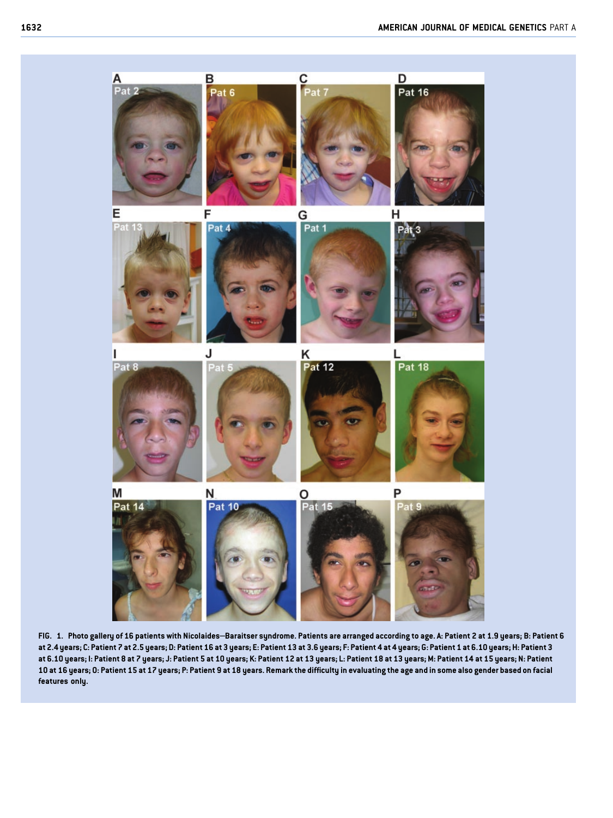

FIG. 1. Photo gallery of 16 patients with Nicolaides–Baraitser syndrome. Patients are arranged according to age. A: Patient 2 at 1.9 years; B: Patient 6 at 2.4 years; C: Patient 7 at 2.5 years; D: Patient 16 at 3 years; E: Patient 13 at 3.6 years; F: Patient 4 at 4 years; G: Patient 1 at 6.10 years; H: Patient 3 at 6.10 years; I: Patient 8 at 7 years; J: Patient 5 at 10 years; K: Patient 12 at 13 years; L: Patient 18 at 13 years; M: Patient 14 at 15 years; N: Patient 10 at 16 years; O: Patient 15 at 17 years; P: Patient 9 at 18 years. Remark the difficulty in evaluating the age and in some also gender based on facial features only.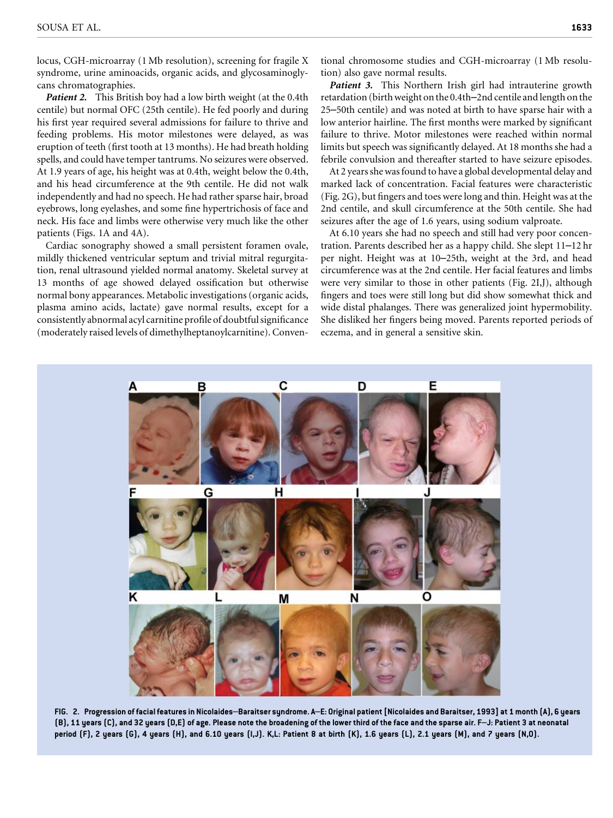locus, CGH-microarray (1 Mb resolution), screening for fragile X syndrome, urine aminoacids, organic acids, and glycosaminoglycans chromatographies.

Patient 2. This British boy had a low birth weight (at the 0.4th centile) but normal OFC (25th centile). He fed poorly and during his first year required several admissions for failure to thrive and feeding problems. His motor milestones were delayed, as was eruption of teeth (first tooth at 13 months). He had breath holding spells, and could have temper tantrums. No seizures were observed. At 1.9 years of age, his height was at 0.4th, weight below the 0.4th, and his head circumference at the 9th centile. He did not walk independently and had no speech. He had rather sparse hair, broad eyebrows, long eyelashes, and some fine hypertrichosis of face and neck. His face and limbs were otherwise very much like the other patients (Figs. 1A and 4A).

Cardiac sonography showed a small persistent foramen ovale, mildly thickened ventricular septum and trivial mitral regurgitation, renal ultrasound yielded normal anatomy. Skeletal survey at 13 months of age showed delayed ossification but otherwise normal bony appearances. Metabolic investigations (organic acids, plasma amino acids, lactate) gave normal results, except for a consistently abnormal acyl carnitine profile of doubtful significance (moderately raised levels of dimethylheptanoylcarnitine). Conventional chromosome studies and CGH-microarray (1 Mb resolution) also gave normal results.

Patient 3. This Northern Irish girl had intrauterine growth retardation (birth weight on the 0.4th–2nd centile and length on the 25–50th centile) and was noted at birth to have sparse hair with a low anterior hairline. The first months were marked by significant failure to thrive. Motor milestones were reached within normal limits but speech was significantly delayed. At 18 months she had a febrile convulsion and thereafter started to have seizure episodes.

At 2 years she was found to have a global developmental delay and marked lack of concentration. Facial features were characteristic (Fig. 2G), but fingers and toes were long and thin. Height was at the 2nd centile, and skull circumference at the 50th centile. She had seizures after the age of 1.6 years, using sodium valproate.

At 6.10 years she had no speech and still had very poor concentration. Parents described her as a happy child. She slept 11–12 hr per night. Height was at 10–25th, weight at the 3rd, and head circumference was at the 2nd centile. Her facial features and limbs were very similar to those in other patients (Fig. 2I,J), although fingers and toes were still long but did show somewhat thick and wide distal phalanges. There was generalized joint hypermobility. She disliked her fingers being moved. Parents reported periods of eczema, and in general a sensitive skin.



FIG. 2. Progression of facial features in Nicolaides–Baraitser syndrome. A–E: Original patient [Nicolaides and Baraitser, 1993] at 1 month (A), 6 years (B), 11 years (C), and 32 years (D,E) of age. Please note the broadening of the lower third of the face and the sparse air. F–J: Patient 3 at neonatal period (F), 2 years (G), 4 years (H), and 6.10 years (I,J). K,L: Patient 8 at birth (K), 1.6 years (L), 2.1 years (M), and 7 years (N,O).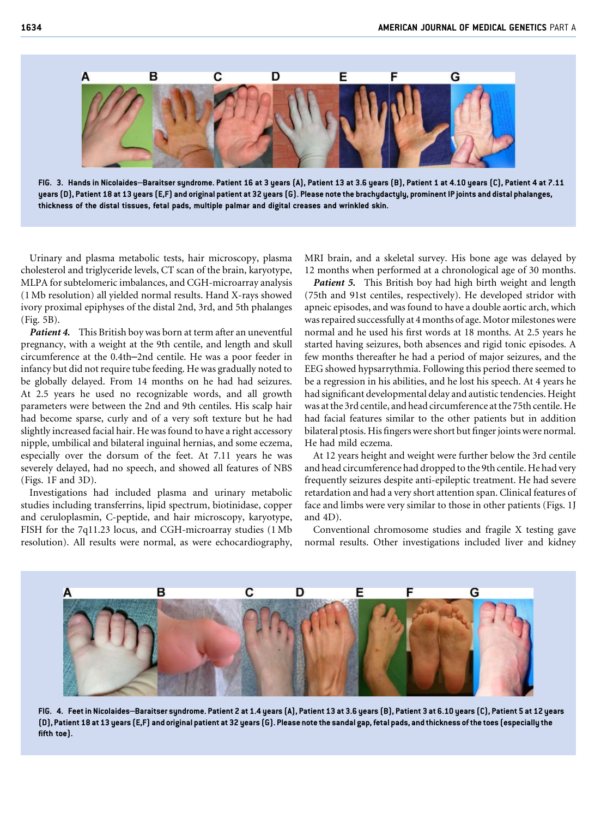

FIG. 3. Hands in Nicolaides–Baraitser syndrome. Patient 16 at 3 years (A), Patient 13 at 3.6 years (B), Patient 1 at 4.10 years (C), Patient 4 at 7.11 years (D), Patient 18 at 13 years (E,F) and original patient at 32 years (G). Please note the brachydactyly, prominent IP joints and distal phalanges, thickness of the distal tissues, fetal pads, multiple palmar and digital creases and wrinkled skin.

Urinary and plasma metabolic tests, hair microscopy, plasma cholesterol and triglyceride levels, CT scan of the brain, karyotype, MLPA for subtelomeric imbalances, and CGH-microarray analysis (1 Mb resolution) all yielded normal results. Hand X-rays showed ivory proximal epiphyses of the distal 2nd, 3rd, and 5th phalanges (Fig. 5B).

**Patient 4.** This British boy was born at term after an uneventful pregnancy, with a weight at the 9th centile, and length and skull circumference at the 0.4th–2nd centile. He was a poor feeder in infancy but did not require tube feeding. He was gradually noted to be globally delayed. From 14 months on he had had seizures. At 2.5 years he used no recognizable words, and all growth parameters were between the 2nd and 9th centiles. His scalp hair had become sparse, curly and of a very soft texture but he had slightly increased facial hair. He was found to have a right accessory nipple, umbilical and bilateral inguinal hernias, and some eczema, especially over the dorsum of the feet. At 7.11 years he was severely delayed, had no speech, and showed all features of NBS (Figs. 1F and 3D).

Investigations had included plasma and urinary metabolic studies including transferrins, lipid spectrum, biotinidase, copper and ceruloplasmin, C-peptide, and hair microscopy, karyotype, FISH for the 7q11.23 locus, and CGH-microarray studies (1 Mb resolution). All results were normal, as were echocardiography, MRI brain, and a skeletal survey. His bone age was delayed by 12 months when performed at a chronological age of 30 months.

Patient 5. This British boy had high birth weight and length (75th and 91st centiles, respectively). He developed stridor with apneic episodes, and was found to have a double aortic arch, which was repaired successfully at 4 months of age. Motor milestones were normal and he used his first words at 18 months. At 2.5 years he started having seizures, both absences and rigid tonic episodes. A few months thereafter he had a period of major seizures, and the EEG showed hypsarrythmia. Following this period there seemed to be a regression in his abilities, and he lost his speech. At 4 years he had significant developmental delay and autistic tendencies. Height was at the 3rd centile, and head circumference at the 75th centile. He had facial features similar to the other patients but in addition bilateral ptosis. His fingers were short but finger joints were normal. He had mild eczema.

At 12 years height and weight were further below the 3rd centile and head circumference had dropped to the 9th centile. He had very frequently seizures despite anti-epileptic treatment. He had severe retardation and had a very short attention span. Clinical features of face and limbs were very similar to those in other patients (Figs. 1J and 4D).

Conventional chromosome studies and fragile X testing gave normal results. Other investigations included liver and kidney



FIG. 4. Feet in Nicolaides–Baraitser syndrome. Patient 2 at 1.4 years (A), Patient 13 at 3.6 years (B), Patient 3 at 6.10 years (C), Patient 5 at 12 years (D), Patient 18 at 13 years (E,F) and original patient at 32 years (G). Please note the sandal gap, fetal pads, and thickness of the toes (especially the fifth toe).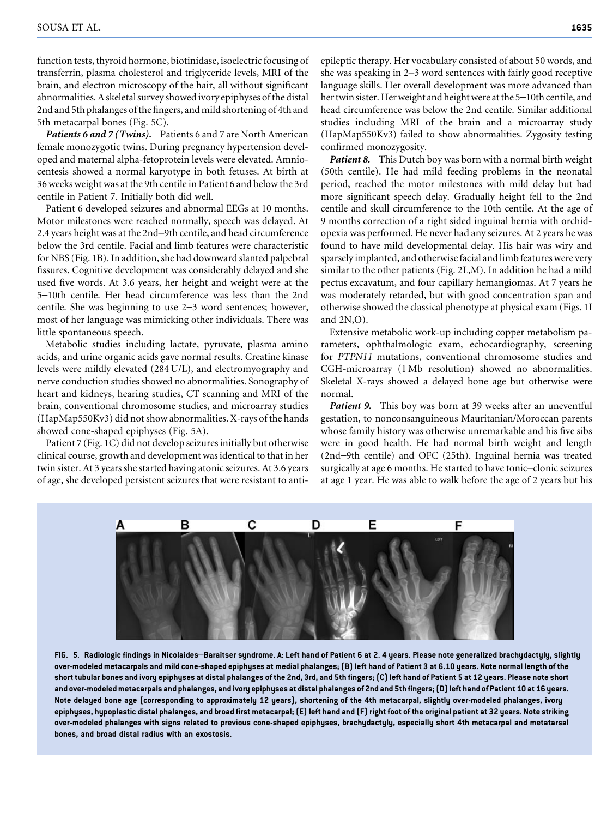function tests, thyroid hormone, biotinidase, isoelectric focusing of transferrin, plasma cholesterol and triglyceride levels, MRI of the brain, and electron microscopy of the hair, all without significant abnormalities. A skeletal survey showed ivory epiphyses of the distal 2nd and 5th phalanges of the fingers, and mild shortening of 4th and 5th metacarpal bones (Fig. 5C).

Patients 6 and 7 (Twins). Patients 6 and 7 are North American female monozygotic twins. During pregnancy hypertension developed and maternal alpha-fetoprotein levels were elevated. Amniocentesis showed a normal karyotype in both fetuses. At birth at 36 weeks weight was at the 9th centile in Patient 6 and below the 3rd centile in Patient 7. Initially both did well.

Patient 6 developed seizures and abnormal EEGs at 10 months. Motor milestones were reached normally, speech was delayed. At 2.4 years height was at the 2nd–9th centile, and head circumference below the 3rd centile. Facial and limb features were characteristic for NBS (Fig. 1B). In addition, she had downward slanted palpebral fissures. Cognitive development was considerably delayed and she used five words. At 3.6 years, her height and weight were at the 5–10th centile. Her head circumference was less than the 2nd centile. She was beginning to use 2–3 word sentences; however, most of her language was mimicking other individuals. There was little spontaneous speech.

Metabolic studies including lactate, pyruvate, plasma amino acids, and urine organic acids gave normal results. Creatine kinase levels were mildly elevated (284 U/L), and electromyography and nerve conduction studies showed no abnormalities. Sonography of heart and kidneys, hearing studies, CT scanning and MRI of the brain, conventional chromosome studies, and microarray studies (HapMap550Kv3) did not show abnormalities. X-rays of the hands showed cone-shaped epiphyses (Fig. 5A).

Patient 7 (Fig. 1C) did not develop seizures initially but otherwise clinical course, growth and development was identical to that in her twin sister. At 3 years she started having atonic seizures. At 3.6 years of age, she developed persistent seizures that were resistant to antiepileptic therapy. Her vocabulary consisted of about 50 words, and she was speaking in 2–3 word sentences with fairly good receptive language skills. Her overall development was more advanced than her twin sister. Her weight and height were at the 5–10th centile, and head circumference was below the 2nd centile. Similar additional studies including MRI of the brain and a microarray study (HapMap550Kv3) failed to show abnormalities. Zygosity testing confirmed monozygosity.

Patient 8. This Dutch boy was born with a normal birth weight (50th centile). He had mild feeding problems in the neonatal period, reached the motor milestones with mild delay but had more significant speech delay. Gradually height fell to the 2nd centile and skull circumference to the 10th centile. At the age of 9 months correction of a right sided inguinal hernia with orchidopexia was performed. He never had any seizures. At 2 years he was found to have mild developmental delay. His hair was wiry and sparsely implanted, and otherwise facial and limb features were very similar to the other patients (Fig. 2L,M). In addition he had a mild pectus excavatum, and four capillary hemangiomas. At 7 years he was moderately retarded, but with good concentration span and otherwise showed the classical phenotype at physical exam (Figs. 1I and 2N,O).

Extensive metabolic work-up including copper metabolism parameters, ophthalmologic exam, echocardiography, screening for PTPN11 mutations, conventional chromosome studies and CGH-microarray (1 Mb resolution) showed no abnormalities. Skeletal X-rays showed a delayed bone age but otherwise were normal.

**Patient 9.** This boy was born at 39 weeks after an uneventful gestation, to nonconsanguineous Mauritanian/Moroccan parents whose family history was otherwise unremarkable and his five sibs were in good health. He had normal birth weight and length (2nd–9th centile) and OFC (25th). Inguinal hernia was treated surgically at age 6 months. He started to have tonic–clonic seizures at age 1 year. He was able to walk before the age of 2 years but his



FIG. 5. Radiologic findings in Nicolaides–Baraitser syndrome. A: Left hand of Patient 6 at 2. 4 years. Please note generalized brachydactyly, slightly over-modeled metacarpals and mild cone-shaped epiphyses at medial phalanges; (B) left hand of Patient 3 at 6.10 years. Note normal length of the short tubular bones and ivory epiphyses at distal phalanges of the 2nd, 3rd, and 5th fingers; (C) left hand of Patient 5 at 12 years. Please note short and over-modeled metacarpals and phalanges, and ivory epiphyses at distal phalanges of 2nd and 5th fingers; (D) left hand of Patient 10 at 16 years. Note delayed bone age (corresponding to approximately 12 years), shortening of the 4th metacarpal, slightly over-modeled phalanges, ivory epiphyses, hypoplastic distal phalanges, and broad first metacarpal; (E) left hand and (F) right foot of the original patient at 32 years. Note striking over-modeled phalanges with signs related to previous cone-shaped epiphyses, brachydactyly, especially short 4th metacarpal and metatarsal bones, and broad distal radius with an exostosis.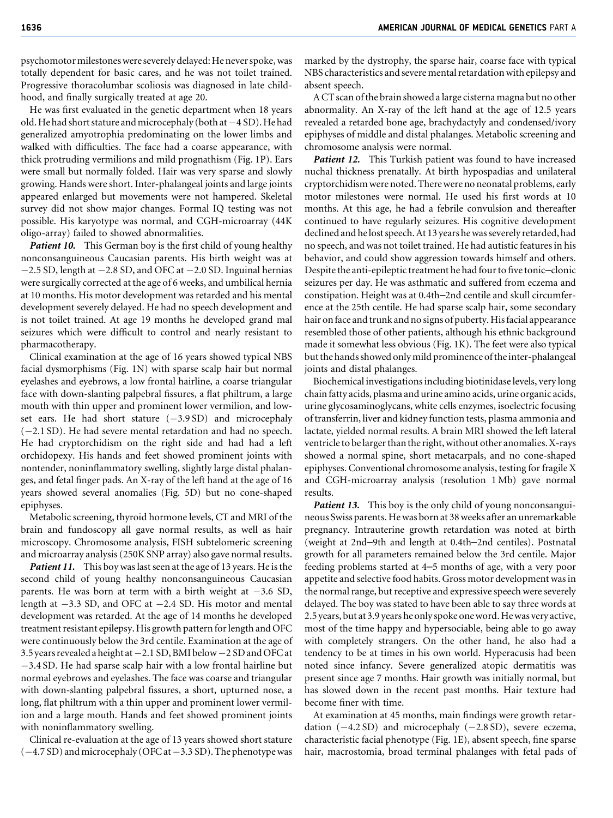psychomotor milestones were severely delayed: He never spoke, was totally dependent for basic cares, and he was not toilet trained. Progressive thoracolumbar scoliosis was diagnosed in late childhood, and finally surgically treated at age 20.

He was first evaluated in the genetic department when 18 years old. He had short stature and microcephaly (both at  $-4$  SD). He had generalized amyotrophia predominating on the lower limbs and walked with difficulties. The face had a coarse appearance, with thick protruding vermilions and mild prognathism (Fig. 1P). Ears were small but normally folded. Hair was very sparse and slowly growing. Hands were short. Inter-phalangeal joints and large joints appeared enlarged but movements were not hampered. Skeletal survey did not show major changes. Formal IQ testing was not possible. His karyotype was normal, and CGH-microarray (44K oligo-array) failed to showed abnormalities.

**Patient 10.** This German boy is the first child of young healthy nonconsanguineous Caucasian parents. His birth weight was at  $-2.5$  SD, length at  $-2.8$  SD, and OFC at  $-2.0$  SD. Inguinal hernias were surgically corrected at the age of 6 weeks, and umbilical hernia at 10 months. His motor development was retarded and his mental development severely delayed. He had no speech development and is not toilet trained. At age 19 months he developed grand mal seizures which were difficult to control and nearly resistant to pharmacotherapy.

Clinical examination at the age of 16 years showed typical NBS facial dysmorphisms (Fig. 1N) with sparse scalp hair but normal eyelashes and eyebrows, a low frontal hairline, a coarse triangular face with down-slanting palpebral fissures, a flat philtrum, a large mouth with thin upper and prominent lower vermilion, and lowset ears. He had short stature  $(-3.9 S<sub>D</sub>)$  and microcephaly  $(-2.1 SD)$ . He had severe mental retardation and had no speech. He had cryptorchidism on the right side and had had a left orchidopexy. His hands and feet showed prominent joints with nontender, noninflammatory swelling, slightly large distal phalanges, and fetal finger pads. An X-ray of the left hand at the age of 16 years showed several anomalies (Fig. 5D) but no cone-shaped epiphyses.

Metabolic screening, thyroid hormone levels, CT and MRI of the brain and fundoscopy all gave normal results, as well as hair microscopy. Chromosome analysis, FISH subtelomeric screening and microarray analysis (250K SNP array) also gave normal results.

Patient 11. This boy was last seen at the age of 13 years. He is the second child of young healthy nonconsanguineous Caucasian parents. He was born at term with a birth weight at  $-3.6$  SD, length at  $-3.3$  SD, and OFC at  $-2.4$  SD. His motor and mental development was retarded. At the age of 14 months he developed treatment resistant epilepsy. His growth pattern for length and OFC were continuously below the 3rd centile. Examination at the age of 3.5 years revealed a height at  $-2.1$  SD, BMI below  $-2$  SD and OFC at  $-3.4$  SD. He had sparse scalp hair with a low frontal hairline but normal eyebrows and eyelashes. The face was coarse and triangular with down-slanting palpebral fissures, a short, upturned nose, a long, flat philtrum with a thin upper and prominent lower vermilion and a large mouth. Hands and feet showed prominent joints with noninflammatory swelling.

Clinical re-evaluation at the age of 13 years showed short stature  $(-4.7 SD)$  and microcephaly (OFC at  $-3.3 SD$ ). The phenotype was marked by the dystrophy, the sparse hair, coarse face with typical NBS characteristics and severe mental retardation with epilepsy and absent speech.

A CT scan of the brain showed a large cisterna magna but no other abnormality. An X-ray of the left hand at the age of 12.5 years revealed a retarded bone age, brachydactyly and condensed/ivory epiphyses of middle and distal phalanges. Metabolic screening and chromosome analysis were normal.

Patient 12. This Turkish patient was found to have increased nuchal thickness prenatally. At birth hypospadias and unilateral cryptorchidism were noted. There were no neonatal problems, early motor milestones were normal. He used his first words at 10 months. At this age, he had a febrile convulsion and thereafter continued to have regularly seizures. His cognitive development declined and he lost speech. At 13 years he was severely retarded, had no speech, and was not toilet trained. He had autistic features in his behavior, and could show aggression towards himself and others. Despite the anti-epileptic treatment he had four to five tonic–clonic seizures per day. He was asthmatic and suffered from eczema and constipation. Height was at 0.4th–2nd centile and skull circumference at the 25th centile. He had sparse scalp hair, some secondary hair on face and trunk and no signs of puberty. His facial appearance resembled those of other patients, although his ethnic background made it somewhat less obvious (Fig. 1K). The feet were also typical but the hands showed only mild prominence of the inter-phalangeal joints and distal phalanges.

Biochemical investigations including biotinidase levels, very long chain fatty acids, plasma and urine amino acids, urine organic acids, urine glycosaminoglycans, white cells enzymes, isoelectric focusing of transferrin, liver and kidney function tests, plasma ammonia and lactate, yielded normal results. A brain MRI showed the left lateral ventricle to be larger than the right, without other anomalies. X-rays showed a normal spine, short metacarpals, and no cone-shaped epiphyses. Conventional chromosome analysis, testing for fragile X and CGH-microarray analysis (resolution 1 Mb) gave normal results.

Patient 13. This boy is the only child of young nonconsanguineous Swiss parents. He was born at 38 weeks after an unremarkable pregnancy. Intrauterine growth retardation was noted at birth (weight at 2nd–9th and length at 0.4th–2nd centiles). Postnatal growth for all parameters remained below the 3rd centile. Major feeding problems started at 4–5 months of age, with a very poor appetite and selective food habits. Gross motor development was in the normal range, but receptive and expressive speech were severely delayed. The boy was stated to have been able to say three words at 2.5 years, but at 3.9 years he only spoke one word. He was very active, most of the time happy and hypersociable, being able to go away with completely strangers. On the other hand, he also had a tendency to be at times in his own world. Hyperacusis had been noted since infancy. Severe generalized atopic dermatitis was present since age 7 months. Hair growth was initially normal, but has slowed down in the recent past months. Hair texture had become finer with time.

At examination at 45 months, main findings were growth retardation  $(-4.2 SD)$  and microcephaly  $(-2.8 SD)$ , severe eczema, characteristic facial phenotype (Fig. 1E), absent speech, fine sparse hair, macrostomia, broad terminal phalanges with fetal pads of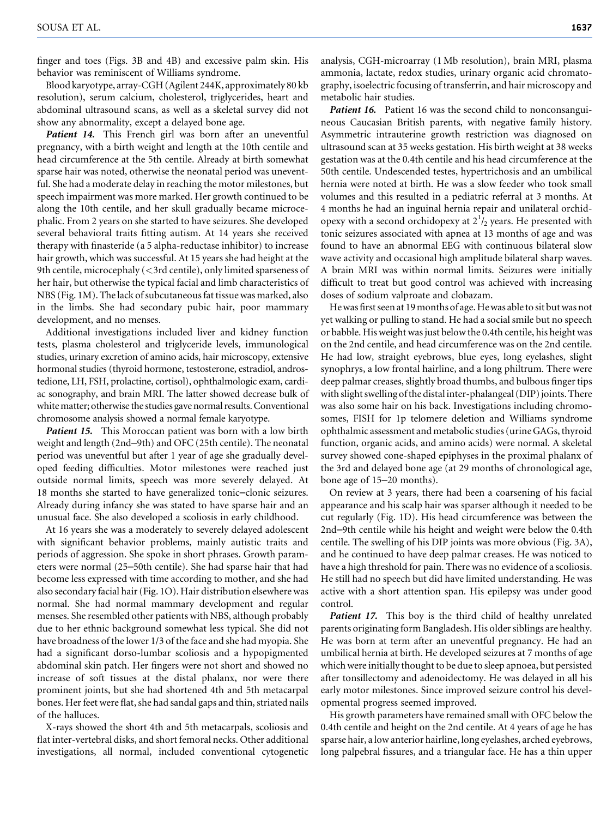finger and toes (Figs. 3B and 4B) and excessive palm skin. His behavior was reminiscent of Williams syndrome.

Blood karyotype, array-CGH (Agilent 244K, approximately 80 kb resolution), serum calcium, cholesterol, triglycerides, heart and abdominal ultrasound scans, as well as a skeletal survey did not show any abnormality, except a delayed bone age.

Patient 14. This French girl was born after an uneventful pregnancy, with a birth weight and length at the 10th centile and head circumference at the 5th centile. Already at birth somewhat sparse hair was noted, otherwise the neonatal period was uneventful. She had a moderate delay in reaching the motor milestones, but speech impairment was more marked. Her growth continued to be along the 10th centile, and her skull gradually became microcephalic. From 2 years on she started to have seizures. She developed several behavioral traits fitting autism. At 14 years she received therapy with finasteride (a 5 alpha-reductase inhibitor) to increase hair growth, which was successful. At 15 years she had height at the 9th centile, microcephaly (<3rd centile), only limited sparseness of her hair, but otherwise the typical facial and limb characteristics of NBS (Fig. 1M). The lack of subcutaneous fat tissue was marked, also in the limbs. She had secondary pubic hair, poor mammary development, and no menses.

Additional investigations included liver and kidney function tests, plasma cholesterol and triglyceride levels, immunological studies, urinary excretion of amino acids, hair microscopy, extensive hormonal studies (thyroid hormone, testosterone, estradiol, androstedione, LH, FSH, prolactine, cortisol), ophthalmologic exam, cardiac sonography, and brain MRI. The latter showed decrease bulk of white matter; otherwise the studies gave normal results. Conventional chromosome analysis showed a normal female karyotype.

**Patient 15.** This Moroccan patient was born with a low birth weight and length (2nd–9th) and OFC (25th centile). The neonatal period was uneventful but after 1 year of age she gradually developed feeding difficulties. Motor milestones were reached just outside normal limits, speech was more severely delayed. At 18 months she started to have generalized tonic–clonic seizures. Already during infancy she was stated to have sparse hair and an unusual face. She also developed a scoliosis in early childhood.

At 16 years she was a moderately to severely delayed adolescent with significant behavior problems, mainly autistic traits and periods of aggression. She spoke in short phrases. Growth parameters were normal (25–50th centile). She had sparse hair that had become less expressed with time according to mother, and she had also secondary facial hair (Fig. 1O). Hair distribution elsewhere was normal. She had normal mammary development and regular menses. She resembled other patients with NBS, although probably due to her ethnic background somewhat less typical. She did not have broadness of the lower 1/3 of the face and she had myopia. She had a significant dorso-lumbar scoliosis and a hypopigmented abdominal skin patch. Her fingers were not short and showed no increase of soft tissues at the distal phalanx, nor were there prominent joints, but she had shortened 4th and 5th metacarpal bones. Her feet were flat, she had sandal gaps and thin, striated nails of the halluces.

X-rays showed the short 4th and 5th metacarpals, scoliosis and flat inter-vertebral disks, and short femoral necks. Other additional investigations, all normal, included conventional cytogenetic analysis, CGH-microarray (1 Mb resolution), brain MRI, plasma ammonia, lactate, redox studies, urinary organic acid chromatography, isoelectric focusing of transferrin, and hair microscopy and metabolic hair studies.

Patient 16. Patient 16 was the second child to nonconsanguineous Caucasian British parents, with negative family history. Asymmetric intrauterine growth restriction was diagnosed on ultrasound scan at 35 weeks gestation. His birth weight at 38 weeks gestation was at the 0.4th centile and his head circumference at the 50th centile. Undescended testes, hypertrichosis and an umbilical hernia were noted at birth. He was a slow feeder who took small volumes and this resulted in a pediatric referral at 3 months. At 4 months he had an inguinal hernia repair and unilateral orchidopexy with a second orchidopexy at  $2^{17}/2$  years. He presented with tonic seizures associated with apnea at 13 months of age and was found to have an abnormal EEG with continuous bilateral slow wave activity and occasional high amplitude bilateral sharp waves. A brain MRI was within normal limits. Seizures were initially difficult to treat but good control was achieved with increasing doses of sodium valproate and clobazam.

He was first seen at 19 months of age. He was able to sit but was not yet walking or pulling to stand. He had a social smile but no speech or babble. His weight was just below the 0.4th centile, his height was on the 2nd centile, and head circumference was on the 2nd centile. He had low, straight eyebrows, blue eyes, long eyelashes, slight synophrys, a low frontal hairline, and a long philtrum. There were deep palmar creases, slightly broad thumbs, and bulbous finger tips with slight swelling of the distal inter-phalangeal (DIP) joints. There was also some hair on his back. Investigations including chromosomes, FISH for 1p telomere deletion and Williams syndrome ophthalmic assessment and metabolic studies (urine GAGs, thyroid function, organic acids, and amino acids) were normal. A skeletal survey showed cone-shaped epiphyses in the proximal phalanx of the 3rd and delayed bone age (at 29 months of chronological age, bone age of 15–20 months).

On review at 3 years, there had been a coarsening of his facial appearance and his scalp hair was sparser although it needed to be cut regularly (Fig. 1D). His head circumference was between the 2nd–9th centile while his height and weight were below the 0.4th centile. The swelling of his DIP joints was more obvious (Fig. 3A), and he continued to have deep palmar creases. He was noticed to have a high threshold for pain. There was no evidence of a scoliosis. He still had no speech but did have limited understanding. He was active with a short attention span. His epilepsy was under good control.

**Patient 17.** This boy is the third child of healthy unrelated parents originating form Bangladesh. His older siblings are healthy. He was born at term after an uneventful pregnancy. He had an umbilical hernia at birth. He developed seizures at 7 months of age which were initially thought to be due to sleep apnoea, but persisted after tonsillectomy and adenoidectomy. He was delayed in all his early motor milestones. Since improved seizure control his developmental progress seemed improved.

His growth parameters have remained small with OFC below the 0.4th centile and height on the 2nd centile. At 4 years of age he has sparse hair, a low anterior hairline, long eyelashes, arched eyebrows, long palpebral fissures, and a triangular face. He has a thin upper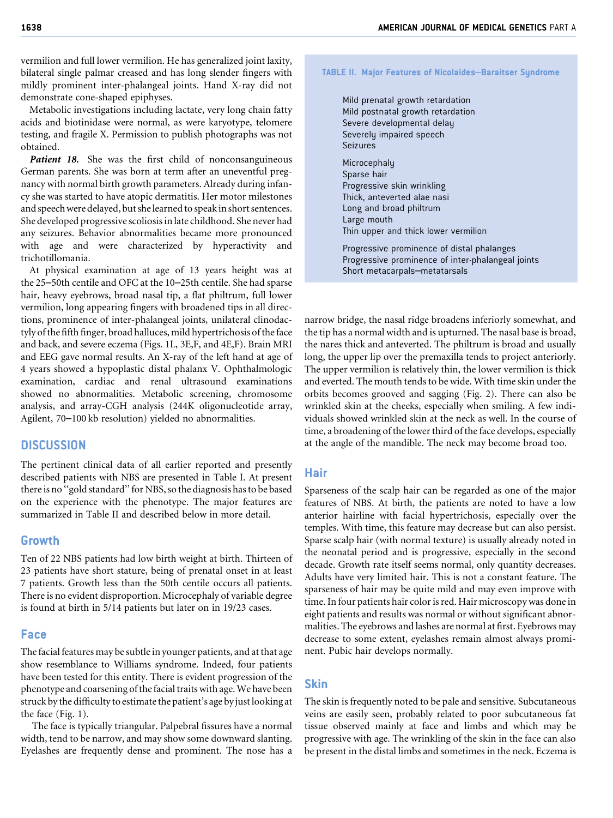vermilion and full lower vermilion. He has generalized joint laxity, bilateral single palmar creased and has long slender fingers with mildly prominent inter-phalangeal joints. Hand X-ray did not demonstrate cone-shaped epiphyses.

Metabolic investigations including lactate, very long chain fatty acids and biotinidase were normal, as were karyotype, telomere testing, and fragile X. Permission to publish photographs was not obtained.

Patient 18. She was the first child of nonconsanguineous German parents. She was born at term after an uneventful pregnancy with normal birth growth parameters. Already during infancy she was started to have atopic dermatitis. Her motor milestones and speech were delayed, but she learned to speak in short sentences. She developed progressive scoliosis in late childhood. She never had any seizures. Behavior abnormalities became more pronounced with age and were characterized by hyperactivity and trichotillomania.

At physical examination at age of 13 years height was at the 25–50th centile and OFC at the 10–25th centile. She had sparse hair, heavy eyebrows, broad nasal tip, a flat philtrum, full lower vermilion, long appearing fingers with broadened tips in all directions, prominence of inter-phalangeal joints, unilateral clinodactyly of the fifth finger, broad halluces, mild hypertrichosis of the face and back, and severe eczema (Figs. 1L, 3E,F, and 4E,F). Brain MRI and EEG gave normal results. An X-ray of the left hand at age of 4 years showed a hypoplastic distal phalanx V. Ophthalmologic examination, cardiac and renal ultrasound examinations showed no abnormalities. Metabolic screening, chromosome analysis, and array-CGH analysis (244K oligonucleotide array, Agilent, 70–100 kb resolution) yielded no abnormalities.

#### **DISCUSSION**

The pertinent clinical data of all earlier reported and presently described patients with NBS are presented in Table I. At present there is no ''gold standard'' for NBS, so the diagnosis has to be based on the experience with the phenotype. The major features are summarized in Table II and described below in more detail.

#### Growth

Ten of 22 NBS patients had low birth weight at birth. Thirteen of 23 patients have short stature, being of prenatal onset in at least 7 patients. Growth less than the 50th centile occurs all patients. There is no evident disproportion. Microcephaly of variable degree is found at birth in 5/14 patients but later on in 19/23 cases.

#### Face

The facial features may be subtle in younger patients, and at that age show resemblance to Williams syndrome. Indeed, four patients have been tested for this entity. There is evident progression of the phenotype and coarsening of the facial traits with age. We have been struck by the difficulty to estimate the patient's age by just looking at the face (Fig. 1).

The face is typically triangular. Palpebral fissures have a normal width, tend to be narrow, and may show some downward slanting. Eyelashes are frequently dense and prominent. The nose has a

#### TABLE II. Major Features of Nicolaides–Baraitser Syndrome

Mild prenatal growth retardation Mild postnatal growth retardation Severe developmental delay Severely impaired speech Seizures Microcephaly Sparse hair Progressive skin wrinkling Thick, anteverted alae nasi Long and broad philtrum Large mouth Thin upper and thick lower vermilion Progressive prominence of distal phalanges Progressive prominence of inter-phalangeal joints Short metacarpals–metatarsals

narrow bridge, the nasal ridge broadens inferiorly somewhat, and the tip has a normal width and is upturned. The nasal base is broad, the nares thick and anteverted. The philtrum is broad and usually long, the upper lip over the premaxilla tends to project anteriorly. The upper vermilion is relatively thin, the lower vermilion is thick and everted. The mouth tends to be wide. With time skin under the orbits becomes grooved and sagging (Fig. 2). There can also be wrinkled skin at the cheeks, especially when smiling. A few individuals showed wrinkled skin at the neck as well. In the course of time, a broadening of the lower third of the face develops, especially at the angle of the mandible. The neck may become broad too.

#### **Hair**

Sparseness of the scalp hair can be regarded as one of the major features of NBS. At birth, the patients are noted to have a low anterior hairline with facial hypertrichosis, especially over the temples. With time, this feature may decrease but can also persist. Sparse scalp hair (with normal texture) is usually already noted in the neonatal period and is progressive, especially in the second decade. Growth rate itself seems normal, only quantity decreases. Adults have very limited hair. This is not a constant feature. The sparseness of hair may be quite mild and may even improve with time. In four patients hair color is red. Hair microscopy was done in eight patients and results was normal or without significant abnormalities. The eyebrows and lashes are normal at first. Eyebrows may decrease to some extent, eyelashes remain almost always prominent. Pubic hair develops normally.

#### Skin

The skin is frequently noted to be pale and sensitive. Subcutaneous veins are easily seen, probably related to poor subcutaneous fat tissue observed mainly at face and limbs and which may be progressive with age. The wrinkling of the skin in the face can also be present in the distal limbs and sometimes in the neck. Eczema is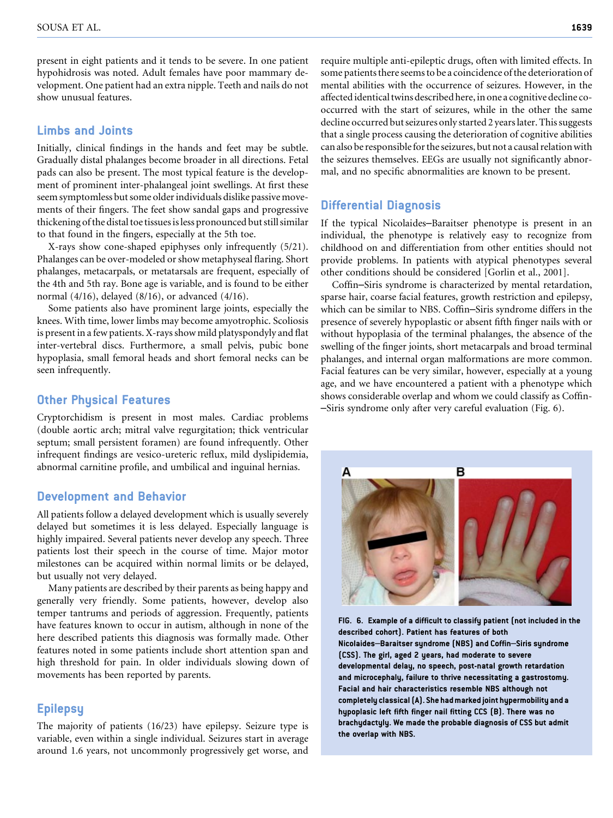present in eight patients and it tends to be severe. In one patient hypohidrosis was noted. Adult females have poor mammary development. One patient had an extra nipple. Teeth and nails do not show unusual features.

# Limbs and Joints

Initially, clinical findings in the hands and feet may be subtle. Gradually distal phalanges become broader in all directions. Fetal pads can also be present. The most typical feature is the development of prominent inter-phalangeal joint swellings. At first these seem symptomless but some older individuals dislike passive movements of their fingers. The feet show sandal gaps and progressive thickening of the distal toe tissues is less pronounced but still similar to that found in the fingers, especially at the 5th toe.

X-rays show cone-shaped epiphyses only infrequently (5/21). Phalanges can be over-modeled or show metaphyseal flaring. Short phalanges, metacarpals, or metatarsals are frequent, especially of the 4th and 5th ray. Bone age is variable, and is found to be either normal (4/16), delayed (8/16), or advanced (4/16).

Some patients also have prominent large joints, especially the knees. With time, lower limbs may become amyotrophic. Scoliosis is present in a few patients. X-rays show mild platyspondyly and flat inter-vertebral discs. Furthermore, a small pelvis, pubic bone hypoplasia, small femoral heads and short femoral necks can be seen infrequently.

## Other Physical Features

Cryptorchidism is present in most males. Cardiac problems (double aortic arch; mitral valve regurgitation; thick ventricular septum; small persistent foramen) are found infrequently. Other infrequent findings are vesico-ureteric reflux, mild dyslipidemia, abnormal carnitine profile, and umbilical and inguinal hernias.

### Development and Behavior

All patients follow a delayed development which is usually severely delayed but sometimes it is less delayed. Especially language is highly impaired. Several patients never develop any speech. Three patients lost their speech in the course of time. Major motor milestones can be acquired within normal limits or be delayed, but usually not very delayed.

Many patients are described by their parents as being happy and generally very friendly. Some patients, however, develop also temper tantrums and periods of aggression. Frequently, patients have features known to occur in autism, although in none of the here described patients this diagnosis was formally made. Other features noted in some patients include short attention span and high threshold for pain. In older individuals slowing down of movements has been reported by parents.

#### **Epilepsy**

The majority of patients (16/23) have epilepsy. Seizure type is variable, even within a single individual. Seizures start in average around 1.6 years, not uncommonly progressively get worse, and

require multiple anti-epileptic drugs, often with limited effects. In some patients there seems to be a coincidence of the deterioration of mental abilities with the occurrence of seizures. However, in the affected identical twins described here, in one a cognitive decline cooccurred with the start of seizures, while in the other the same decline occurred but seizures only started 2 years later. This suggests that a single process causing the deterioration of cognitive abilities can also be responsible for the seizures, but not a causal relation with the seizures themselves. EEGs are usually not significantly abnormal, and no specific abnormalities are known to be present.

#### Differential Diagnosis

If the typical Nicolaides–Baraitser phenotype is present in an individual, the phenotype is relatively easy to recognize from childhood on and differentiation from other entities should not provide problems. In patients with atypical phenotypes several other conditions should be considered [Gorlin et al., 2001].

Coffin–Siris syndrome is characterized by mental retardation, sparse hair, coarse facial features, growth restriction and epilepsy, which can be similar to NBS. Coffin–Siris syndrome differs in the presence of severely hypoplastic or absent fifth finger nails with or without hypoplasia of the terminal phalanges, the absence of the swelling of the finger joints, short metacarpals and broad terminal phalanges, and internal organ malformations are more common. Facial features can be very similar, however, especially at a young age, and we have encountered a patient with a phenotype which shows considerable overlap and whom we could classify as Coffin- –Siris syndrome only after very careful evaluation (Fig. 6).



FIG. 6. Example of a difficult to classify patient (not included in the described cohort). Patient has features of both Nicolaides–Baraitser syndrome (NBS) and Coffin–Siris syndrome (CSS). The girl, aged 2 years, had moderate to severe developmental delay, no speech, post-natal growth retardation and microcephaly, failure to thrive necessitating a gastrostomy. Facial and hair characteristics resemble NBS although not completely classical (A). She had marked joint hypermobility and a hypoplasic left fifth finger nail fitting CCS (B). There was no brachydactyly. We made the probable diagnosis of CSS but admit the overlap with NBS.